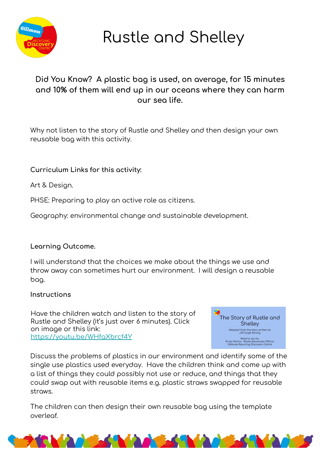

**Rustle and Shelley** 

## Did You Know? A plastic bag is used, on average, for 15 minutes and 10% of them will end up in our oceans where they can harm our sea life.

Why not listen to the story of Rustle and Shelley and then design your own reusable bag with this activity.

## Curriculum Links for this activity:

Art & Design.

PHSE: Preparing to play an active role as citizens.

Geography: environmental change and sustainable development.

## Learning Outcome.

I will understand that the choices we make about the things we use and throw away can sometimes hurt our environment. I will design a reusable bag.

## Instructions

Have the children watch and listen to the story of Rustle and Shelley (it's just over 6 minutes). Click on image or this link: https://youtu.be/WHfaXbrcf4Y



Discuss the problems of plastics in our environment and identify some of the single use plastics used everyday. Have the children think and come up with a list of things they could possibly not use or reduce, and things that they could swap out with reusable items e.g. plastic straws swapped for reusable straws.

The children can then design their own reusable bag using the template overleaf.